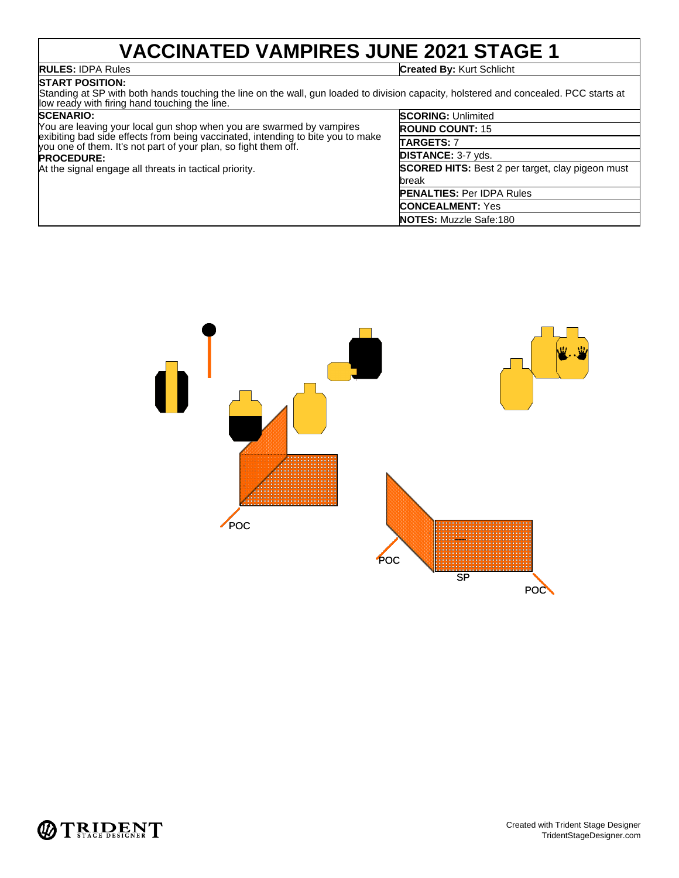# **VACCINATED VAMPIRES JUNE 2021 STAGE 1**

# **START POSITION:**

**RULES:** IDPA Rules **Created By:** Kurt Schlicht

Standing at SP with both hands touching the line on the wall, gun loaded to division capacity, holstered and concealed. PCC starts at low ready with firing hand touching the line.

### **SCENARIO:**

| You are leaving your local gun shop when you are swarmed by vampires<br>exibiting bad side effects from being vaccinated, intending to bite you to make<br>you one of them. It's not part of your plan, so fight them off. |  |  |  |  |
|----------------------------------------------------------------------------------------------------------------------------------------------------------------------------------------------------------------------------|--|--|--|--|
| <b>PROCEDURE:</b>                                                                                                                                                                                                          |  |  |  |  |
| At the signal engage all threats in tactical priority.                                                                                                                                                                     |  |  |  |  |
|                                                                                                                                                                                                                            |  |  |  |  |
|                                                                                                                                                                                                                            |  |  |  |  |

| <b>SCORING: Unlimited</b>                               |
|---------------------------------------------------------|
| <b>ROUND COUNT: 15</b>                                  |
| TARGETS: 7                                              |
| <b>DISTANCE: 3-7 yds.</b>                               |
| <b>SCORED HITS:</b> Best 2 per target, clay pigeon must |
| break                                                   |
| <b>PENALTIES: Per IDPA Rules</b>                        |
| <b>CONCEALMENT: Yes</b>                                 |
| <b>NOTES: Muzzle Safe:180</b>                           |



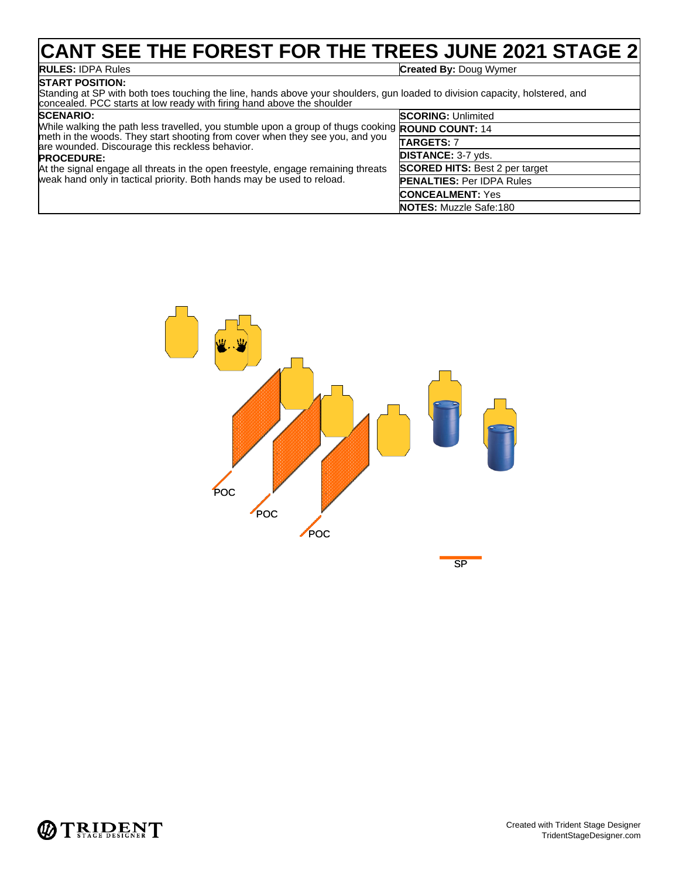# **CANT SEE THE FOREST FOR THE TREES JUNE 2021 STAGE 2**

**START POSITION:**

**RULES:** IDPA Rules **Created By:** Doug Wymer

Standing at SP with both toes touching the line, hands above your shoulders, gun loaded to division capacity, holstered, and concealed. PCC starts at low ready with firing hand above the shoulder

### **SCENARIO:** While walking the path less travelled, you stumble upon a group of thugs cooking **ROUND COUNT:** 14 meth in the woods. They start shooting from cover when they see you, and you are wounded. Discourage this reckless behavior. **PROCEDURE:** At the signal engage all threats in the open freestyle, engage remaining threats weak hand only in tactical priority. Both hands may be used to reload. **SCORING:** Unlimited **TARGETS:** 7 **DISTANCE:** 3-7 yds. **SCORED HITS:** Best 2 per target **PENALTIES:** Per IDPA Rules **CONCEALMENT:** Yes **NOTES:** Muzzle Safe:180



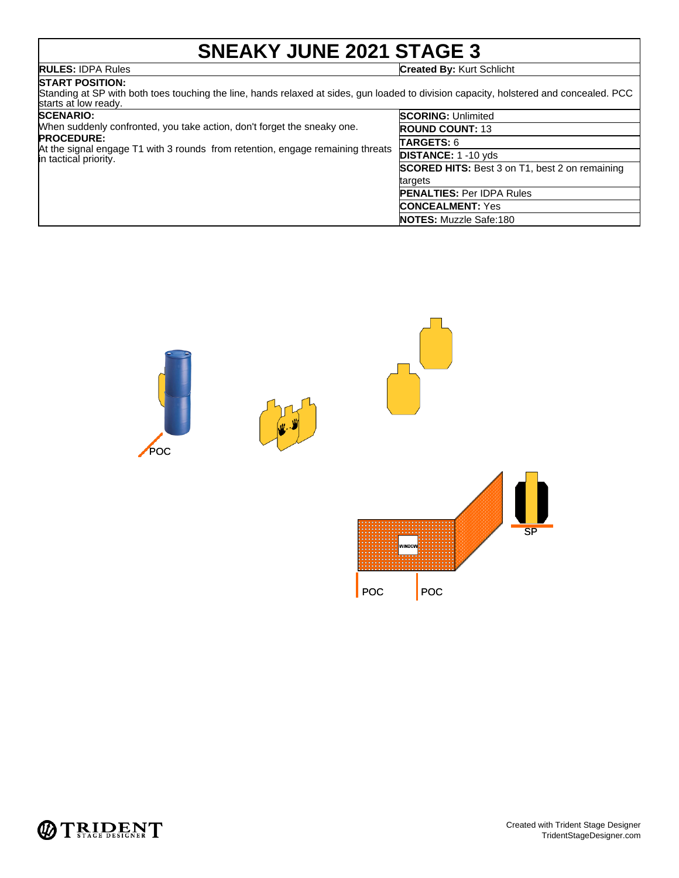# **SNEAKY JUNE 2021 STAGE 3**

**RULES:** IDPA Rules **Created By:** Kurt Schlicht

### **START POSITION:**

Standing at SP with both toes touching the line, hands relaxed at sides, gun loaded to division capacity, holstered and concealed. PCC starts at low ready. **SCORING:** Unlimited

|  |  | <b>SCENARIO:</b> |  |  |
|--|--|------------------|--|--|
|  |  |                  |  |  |

| uuliiniiu.                                                                                              | <b>DUUNING.</b> UIIIIIIIIIIIII                        |  |
|---------------------------------------------------------------------------------------------------------|-------------------------------------------------------|--|
| When suddenly confronted, you take action, don't forget the sneaky one.                                 | <b>ROUND COUNT: 13</b>                                |  |
| <b>PROCEDURE:</b>                                                                                       | <b>TARGETS: 6</b>                                     |  |
| At the signal engage T1 with 3 rounds from retention, engage remaining threats<br>in tactical priority. | <b>DISTANCE: 1 -10 yds</b>                            |  |
|                                                                                                         | <b>SCORED HITS:</b> Best 3 on T1, best 2 on remaining |  |
|                                                                                                         | targets                                               |  |
|                                                                                                         | <b>PENALTIES: Per IDPA Rules</b>                      |  |
|                                                                                                         | <b>CONCEALMENT: Yes</b>                               |  |
|                                                                                                         | <b>NOTES:</b> Muzzle Safe:180                         |  |



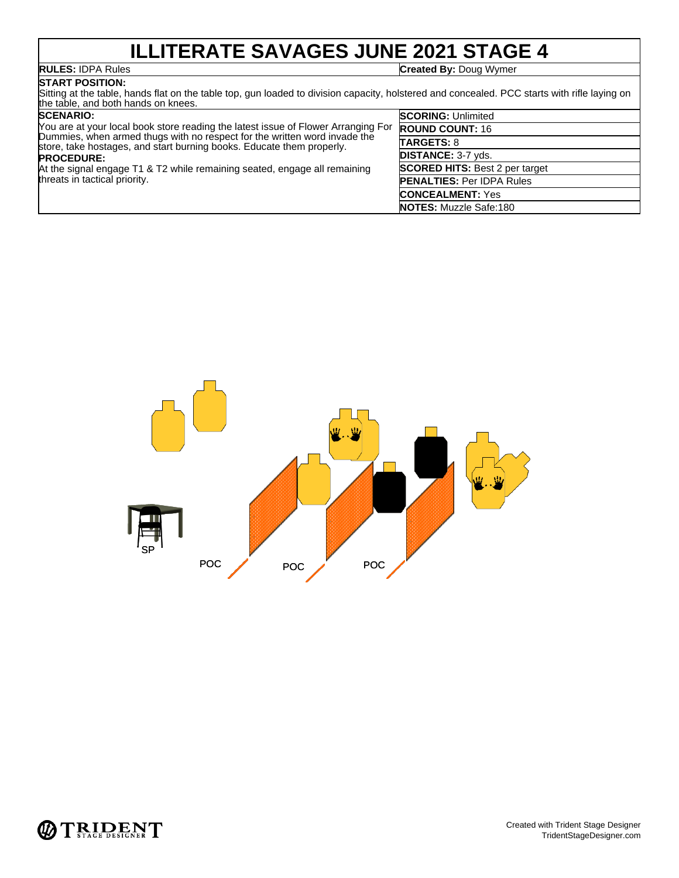# **ILLITERATE SAVAGES JUNE 2021 STAGE 4**

**RULES:** IDPA Rules **Created By:** Doug Wymer

### **START POSITION:**

Sitting at the table, hands flat on the table top, gun loaded to division capacity, holstered and concealed. PCC starts with rifle laying on the table, and both hands on knees.

| <b>SCENARIO:</b>                                                                                                                                   | <b>SCORING: Unlimited</b>             |
|----------------------------------------------------------------------------------------------------------------------------------------------------|---------------------------------------|
| You are at your local book store reading the latest issue of Flower Arranging For                                                                  | <b>ROUND COUNT: 16</b>                |
| Dummies, when armed thugs with no respect for the written word invade the<br>store, take hostages, and start burning books. Educate them properly. | <b>TARGETS: 8</b>                     |
| <b>PROCEDURE:</b><br>At the signal engage T1 & T2 while remaining seated, engage all remaining<br>threats in tactical priority.                    | <b>DISTANCE: 3-7 yds.</b>             |
|                                                                                                                                                    | <b>SCORED HITS: Best 2 per target</b> |
|                                                                                                                                                    | <b>PENALTIES: Per IDPA Rules</b>      |
|                                                                                                                                                    | <b>CONCEALMENT: Yes</b>               |
|                                                                                                                                                    | <b>NOTES:</b> Muzzle Safe:180         |



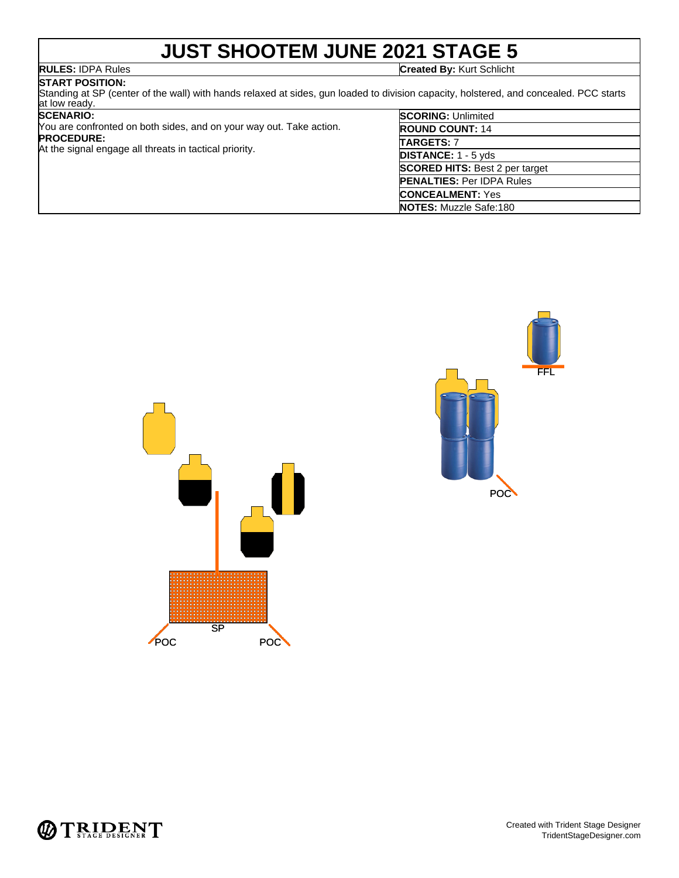# **JUST SHOOTEM JUNE 2021 STAGE 5**

**RULES:** IDPA Rules **Created By:** Kurt Schlicht

**START POSITION:** Standing at SP (center of the wall) with hands relaxed at sides, gun loaded to division capacity, holstered, and concealed. PCC starts at low ready.

### **SCENARIO:**

You are confronted on both sides, and on your way out. Take action. **PROCEDURE:** At the signal engage all threats in tactical priority.

| <b>SCORING: Unlimited</b>             |
|---------------------------------------|
| <b>ROUND COUNT: 14</b>                |
| <b>TARGETS: 7</b>                     |
| <b>DISTANCE:</b> 1 - 5 yds            |
| <b>SCORED HITS: Best 2 per target</b> |
| <b>PENALTIES: Per IDPA Rules</b>      |
| <b>CONCEALMENT: Yes</b>               |
| <b>NOTES:</b> Muzzle Safe:180         |





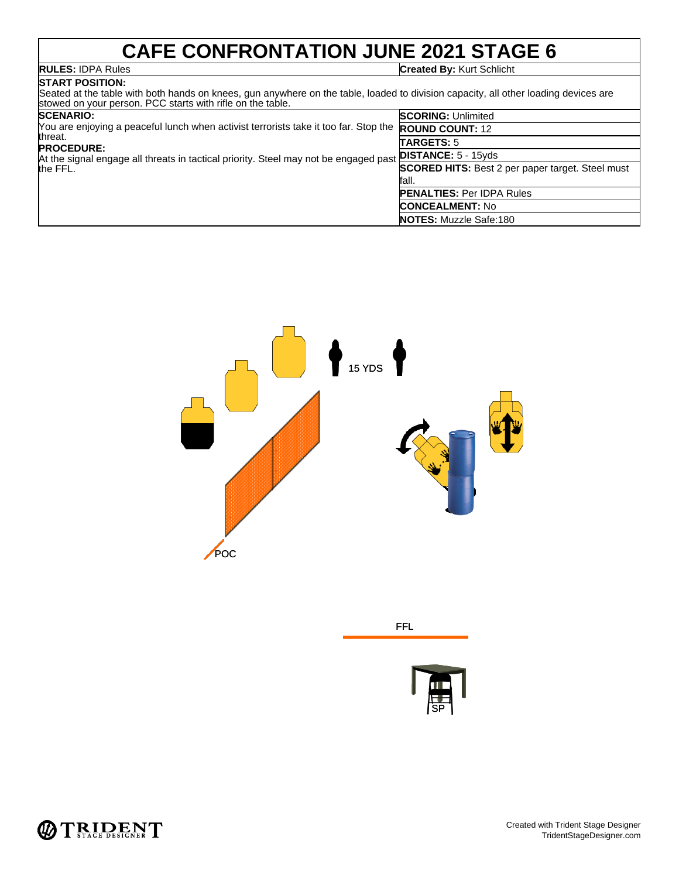# **CAFE CONFRONTATION JUNE 2021 STAGE 6**

## **START POSITION:**

**RULES:** IDPA Rules **Created By:** Kurt Schlicht

Seated at the table with both hands on knees, gun anywhere on the table, loaded to division capacity, all other loading devices are stowed on your person. PCC starts with rifle on the table.

| <b>SCENARIO:</b>                                                                                     | <b>SCORING: Unlimited</b>                               |  |
|------------------------------------------------------------------------------------------------------|---------------------------------------------------------|--|
| You are enjoying a peaceful lunch when activist terrorists take it too far. Stop the ROUND COUNT: 12 |                                                         |  |
| threat.<br><b>PROCEDURE:</b>                                                                         | <b>TARGETS: 5</b>                                       |  |
| At the signal engage all threats in tactical priority. Steel may not be engaged past<br>the FFL.     | <b>DISTANCE:</b> $5 - 15yds$                            |  |
|                                                                                                      | <b>SCORED HITS:</b> Best 2 per paper target. Steel must |  |
|                                                                                                      | fall.                                                   |  |
|                                                                                                      | <b>PENALTIES: Per IDPA Rules</b>                        |  |
|                                                                                                      | <b>CONCEALMENT: No</b>                                  |  |
|                                                                                                      | <b>NOTES:</b> Muzzle Safe:180                           |  |



| <b>FFL</b> |
|------------|
|            |